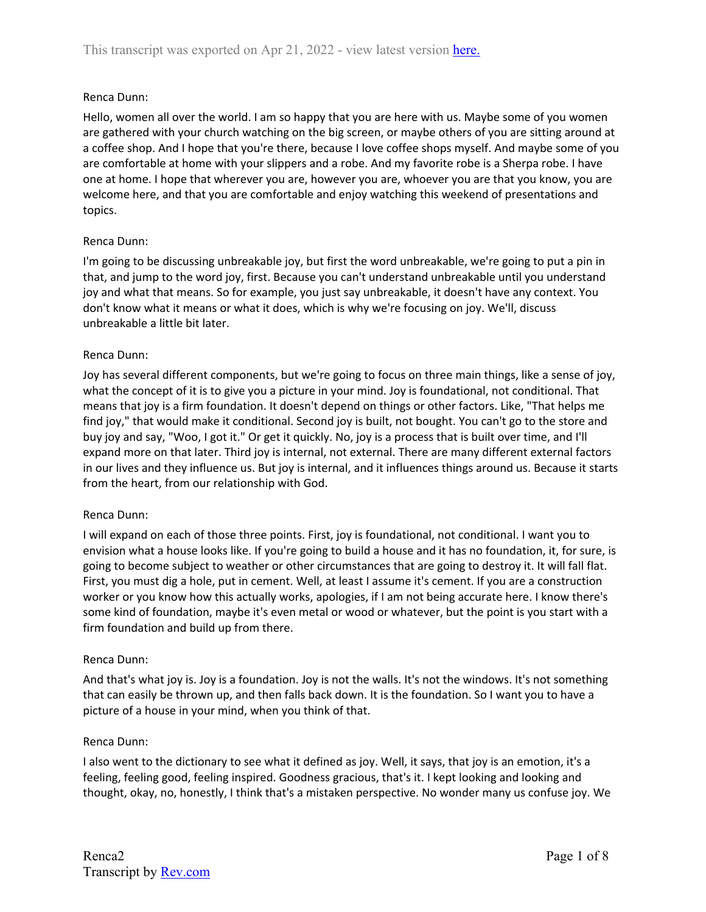# Renca Dunn:

Hello, women all over the world. I am so happy that you are here with us. Maybe some of you women are gathered with your church watching on the big screen, or maybe others of you are sitting around at a coffee shop. And I hope that you're there, because I love coffee shops myself. And maybe some of you are comfortable at home with your slippers and a robe. And my favorite robe is a Sherpa robe. I have one at home. I hope that wherever you are, however you are, whoever you are that you know, you are welcome here, and that you are comfortable and enjoy watching this weekend of presentations and topics.

## Renca Dunn:

I'm going to be discussing unbreakable joy, but first the word unbreakable, we're going to put a pin in that, and jump to the word joy, first. Because you can't understand unbreakable until you understand joy and what that means. So for example, you just say unbreakable, it doesn't have any context. You don't know what it means or what it does, which is why we're focusing on joy. We'll, discuss unbreakable a little bit later.

## Renca Dunn:

Joy has several different components, but we're going to focus on three main things, like a sense of joy, what the concept of it is to give you a picture in your mind. Joy is foundational, not conditional. That means that joy is a firm foundation. It doesn't depend on things or other factors. Like, "That helps me find joy," that would make it conditional. Second joy is built, not bought. You can't go to the store and buy joy and say, "Woo, I got it." Or get it quickly. No, joy is a process that is built over time, and I'll expand more on that later. Third joy is internal, not external. There are many different external factors in our lives and they influence us. But joy is internal, and it influences things around us. Because it starts from the heart, from our relationship with God.

## Renca Dunn:

I will expand on each of those three points. First, joy is foundational, not conditional. I want you to envision what a house looks like. If you're going to build a house and it has no foundation, it, for sure, is going to become subject to weather or other circumstances that are going to destroy it. It will fall flat. First, you must dig a hole, put in cement. Well, at least I assume it's cement. If you are a construction worker or you know how this actually works, apologies, if I am not being accurate here. I know there's some kind of foundation, maybe it's even metal or wood or whatever, but the point is you start with a firm foundation and build up from there.

## Renca Dunn:

And that's what joy is. Joy is a foundation. Joy is not the walls. It's not the windows. It's not something that can easily be thrown up, and then falls back down. It is the foundation. So I want you to have a picture of a house in your mind, when you think of that.

## Renca Dunn:

I also went to the dictionary to see what it defined as joy. Well, it says, that joy is an emotion, it's a feeling, feeling good, feeling inspired. Goodness gracious, that's it. I kept looking and looking and thought, okay, no, honestly, I think that's a mistaken perspective. No wonder many us confuse joy. We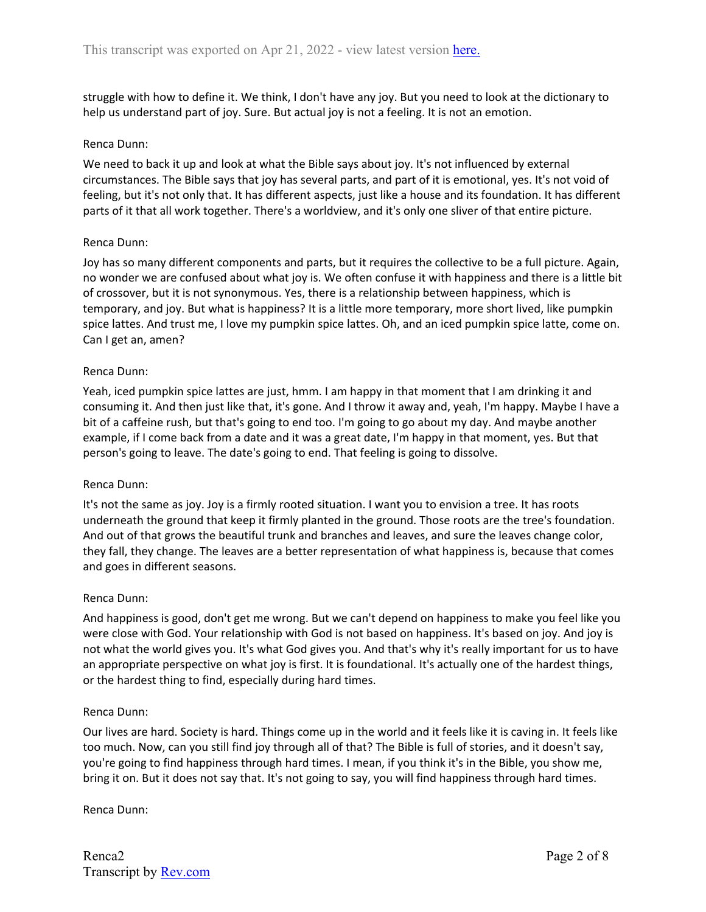struggle with how to define it. We think, I don't have any joy. But you need to look at the dictionary to help us understand part of joy. Sure. But actual joy is not a feeling. It is not an emotion.

### Renca Dunn:

We need to back it up and look at what the Bible says about joy. It's not influenced by external circumstances. The Bible says that joy has several parts, and part of it is emotional, yes. It's not void of feeling, but it's not only that. It has different aspects, just like a house and its foundation. It has different parts of it that all work together. There's a worldview, and it's only one sliver of that entire picture.

### Renca Dunn:

Joy has so many different components and parts, but it requires the collective to be a full picture. Again, no wonder we are confused about what joy is. We often confuse it with happiness and there is a little bit of crossover, but it is not synonymous. Yes, there is a relationship between happiness, which is temporary, and joy. But what is happiness? It is a little more temporary, more short lived, like pumpkin spice lattes. And trust me, I love my pumpkin spice lattes. Oh, and an iced pumpkin spice latte, come on. Can I get an, amen?

### Renca Dunn:

Yeah, iced pumpkin spice lattes are just, hmm. I am happy in that moment that I am drinking it and consuming it. And then just like that, it's gone. And I throw it away and, yeah, I'm happy. Maybe I have a bit of a caffeine rush, but that's going to end too. I'm going to go about my day. And maybe another example, if I come back from a date and it was a great date, I'm happy in that moment, yes. But that person's going to leave. The date's going to end. That feeling is going to dissolve.

#### Renca Dunn:

It's not the same as joy. Joy is a firmly rooted situation. I want you to envision a tree. It has roots underneath the ground that keep it firmly planted in the ground. Those roots are the tree's foundation. And out of that grows the beautiful trunk and branches and leaves, and sure the leaves change color, they fall, they change. The leaves are a better representation of what happiness is, because that comes and goes in different seasons.

#### Renca Dunn:

And happiness is good, don't get me wrong. But we can't depend on happiness to make you feel like you were close with God. Your relationship with God is not based on happiness. It's based on joy. And joy is not what the world gives you. It's what God gives you. And that's why it's really important for us to have an appropriate perspective on what joy is first. It is foundational. It's actually one of the hardest things, or the hardest thing to find, especially during hard times.

#### Renca Dunn:

Our lives are hard. Society is hard. Things come up in the world and it feels like it is caving in. It feels like too much. Now, can you still find joy through all of that? The Bible is full of stories, and it doesn't say, you're going to find happiness through hard times. I mean, if you think it's in the Bible, you show me, bring it on. But it does not say that. It's not going to say, you will find happiness through hard times.

Renca Dunn: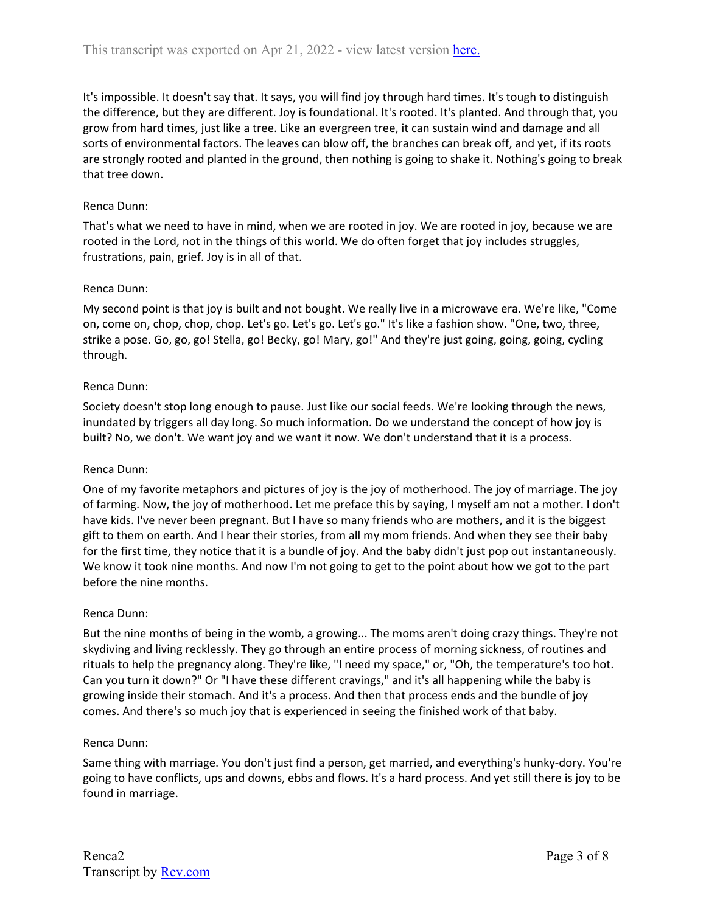It's impossible. It doesn't say that. It says, you will find joy through hard times. It's tough to distinguish the difference, but they are different. Joy is foundational. It's rooted. It's planted. And through that, you grow from hard times, just like a tree. Like an evergreen tree, it can sustain wind and damage and all sorts of environmental factors. The leaves can blow off, the branches can break off, and yet, if its roots are strongly rooted and planted in the ground, then nothing is going to shake it. Nothing's going to break that tree down.

# Renca Dunn:

That's what we need to have in mind, when we are rooted in joy. We are rooted in joy, because we are rooted in the Lord, not in the things of this world. We do often forget that joy includes struggles, frustrations, pain, grief. Joy is in all of that.

# Renca Dunn:

My second point is that joy is built and not bought. We really live in a microwave era. We're like, "Come on, come on, chop, chop, chop. Let's go. Let's go. Let's go." It's like a fashion show. "One, two, three, strike a pose. Go, go, go! Stella, go! Becky, go! Mary, go!" And they're just going, going, going, cycling through.

# Renca Dunn:

Society doesn't stop long enough to pause. Just like our social feeds. We're looking through the news, inundated by triggers all day long. So much information. Do we understand the concept of how joy is built? No, we don't. We want joy and we want it now. We don't understand that it is a process.

## Renca Dunn:

One of my favorite metaphors and pictures of joy is the joy of motherhood. The joy of marriage. The joy of farming. Now, the joy of motherhood. Let me preface this by saying, I myself am not a mother. I don't have kids. I've never been pregnant. But I have so many friends who are mothers, and it is the biggest gift to them on earth. And I hear their stories, from all my mom friends. And when they see their baby for the first time, they notice that it is a bundle of joy. And the baby didn't just pop out instantaneously. We know it took nine months. And now I'm not going to get to the point about how we got to the part before the nine months.

## Renca Dunn:

But the nine months of being in the womb, a growing... The moms aren't doing crazy things. They're not skydiving and living recklessly. They go through an entire process of morning sickness, of routines and rituals to help the pregnancy along. They're like, "I need my space," or, "Oh, the temperature's too hot. Can you turn it down?" Or "I have these different cravings," and it's all happening while the baby is growing inside their stomach. And it's a process. And then that process ends and the bundle of joy comes. And there's so much joy that is experienced in seeing the finished work of that baby.

## Renca Dunn:

Same thing with marriage. You don't just find a person, get married, and everything's hunky-dory. You're going to have conflicts, ups and downs, ebbs and flows. It's a hard process. And yet still there is joy to be found in marriage.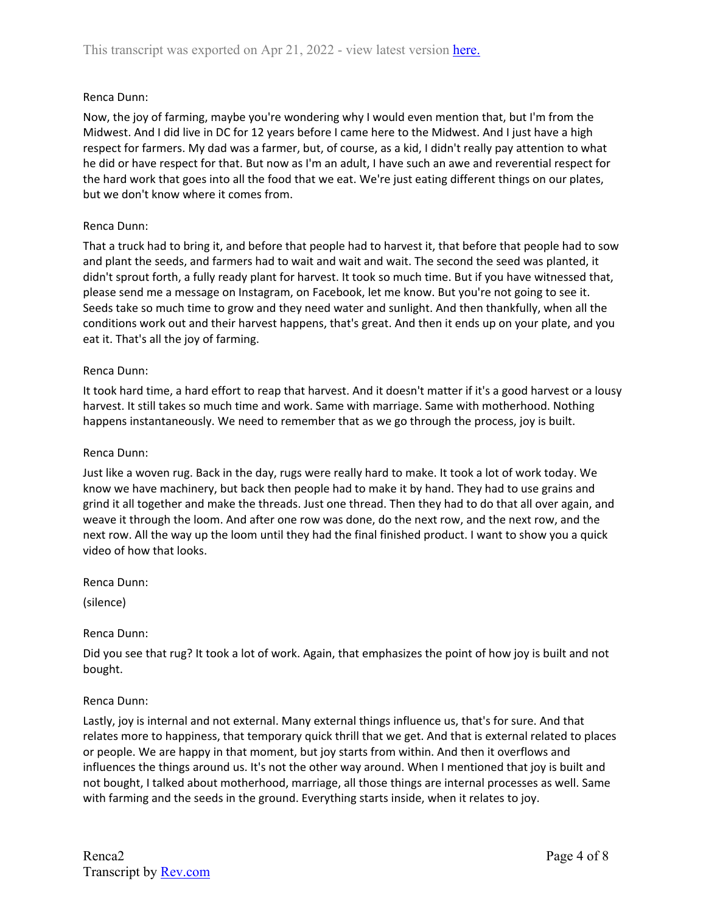# Renca Dunn:

Now, the joy of farming, maybe you're wondering why I would even mention that, but I'm from the Midwest. And I did live in DC for 12 years before I came here to the Midwest. And I just have a high respect for farmers. My dad was a farmer, but, of course, as a kid, I didn't really pay attention to what he did or have respect for that. But now as I'm an adult, I have such an awe and reverential respect for the hard work that goes into all the food that we eat. We're just eating different things on our plates, but we don't know where it comes from.

## Renca Dunn:

That a truck had to bring it, and before that people had to harvest it, that before that people had to sow and plant the seeds, and farmers had to wait and wait and wait. The second the seed was planted, it didn't sprout forth, a fully ready plant for harvest. It took so much time. But if you have witnessed that, please send me a message on Instagram, on Facebook, let me know. But you're not going to see it. Seeds take so much time to grow and they need water and sunlight. And then thankfully, when all the conditions work out and their harvest happens, that's great. And then it ends up on your plate, and you eat it. That's all the joy of farming.

### Renca Dunn:

It took hard time, a hard effort to reap that harvest. And it doesn't matter if it's a good harvest or a lousy harvest. It still takes so much time and work. Same with marriage. Same with motherhood. Nothing happens instantaneously. We need to remember that as we go through the process, joy is built.

### Renca Dunn:

Just like a woven rug. Back in the day, rugs were really hard to make. It took a lot of work today. We know we have machinery, but back then people had to make it by hand. They had to use grains and grind it all together and make the threads. Just one thread. Then they had to do that all over again, and weave it through the loom. And after one row was done, do the next row, and the next row, and the next row. All the way up the loom until they had the final finished product. I want to show you a quick video of how that looks.

Renca Dunn:

(silence)

#### Renca Dunn:

Did you see that rug? It took a lot of work. Again, that emphasizes the point of how joy is built and not bought.

#### Renca Dunn:

Lastly, joy is internal and not external. Many external things influence us, that's for sure. And that relates more to happiness, that temporary quick thrill that we get. And that is external related to places or people. We are happy in that moment, but joy starts from within. And then it overflows and influences the things around us. It's not the other way around. When I mentioned that joy is built and not bought, I talked about motherhood, marriage, all those things are internal processes as well. Same with farming and the seeds in the ground. Everything starts inside, when it relates to joy.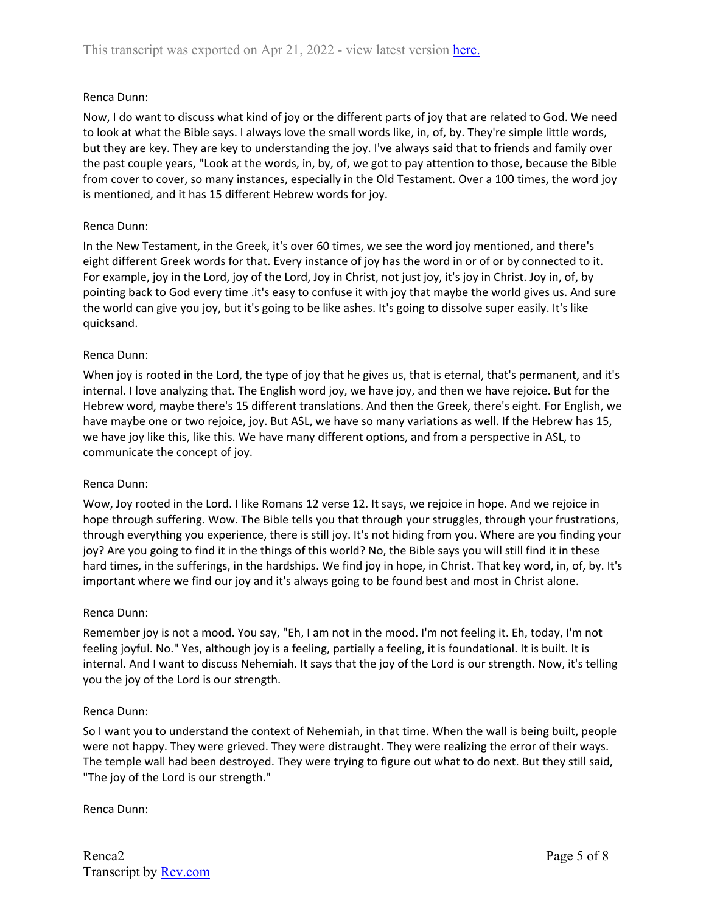## Renca Dunn:

Now, I do want to discuss what kind of joy or the different parts of joy that are related to God. We need to look at what the Bible says. I always love the small words like, in, of, by. They're simple little words, but they are key. They are key to understanding the joy. I've always said that to friends and family over the past couple years, "Look at the words, in, by, of, we got to pay attention to those, because the Bible from cover to cover, so many instances, especially in the Old Testament. Over a 100 times, the word joy is mentioned, and it has 15 different Hebrew words for joy.

## Renca Dunn:

In the New Testament, in the Greek, it's over 60 times, we see the word joy mentioned, and there's eight different Greek words for that. Every instance of joy has the word in or of or by connected to it. For example, joy in the Lord, joy of the Lord, Joy in Christ, not just joy, it's joy in Christ. Joy in, of, by pointing back to God every time .it's easy to confuse it with joy that maybe the world gives us. And sure the world can give you joy, but it's going to be like ashes. It's going to dissolve super easily. It's like quicksand.

## Renca Dunn:

When joy is rooted in the Lord, the type of joy that he gives us, that is eternal, that's permanent, and it's internal. I love analyzing that. The English word joy, we have joy, and then we have rejoice. But for the Hebrew word, maybe there's 15 different translations. And then the Greek, there's eight. For English, we have maybe one or two rejoice, joy. But ASL, we have so many variations as well. If the Hebrew has 15, we have joy like this, like this. We have many different options, and from a perspective in ASL, to communicate the concept of joy.

#### Renca Dunn:

Wow, Joy rooted in the Lord. I like Romans 12 verse 12. It says, we rejoice in hope. And we rejoice in hope through suffering. Wow. The Bible tells you that through your struggles, through your frustrations, through everything you experience, there is still joy. It's not hiding from you. Where are you finding your joy? Are you going to find it in the things of this world? No, the Bible says you will still find it in these hard times, in the sufferings, in the hardships. We find joy in hope, in Christ. That key word, in, of, by. It's important where we find our joy and it's always going to be found best and most in Christ alone.

#### Renca Dunn:

Remember joy is not a mood. You say, "Eh, I am not in the mood. I'm not feeling it. Eh, today, I'm not feeling joyful. No." Yes, although joy is a feeling, partially a feeling, it is foundational. It is built. It is internal. And I want to discuss Nehemiah. It says that the joy of the Lord is our strength. Now, it's telling you the joy of the Lord is our strength.

#### Renca Dunn:

So I want you to understand the context of Nehemiah, in that time. When the wall is being built, people were not happy. They were grieved. They were distraught. They were realizing the error of their ways. The temple wall had been destroyed. They were trying to figure out what to do next. But they still said, "The joy of the Lord is our strength."

Renca Dunn: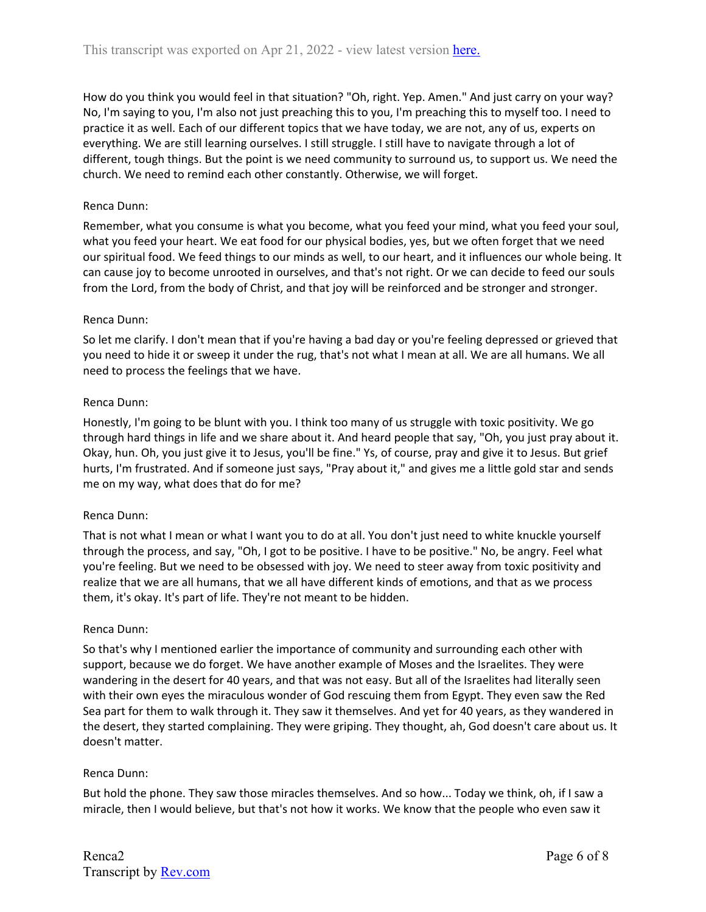How do you think you would feel in that situation? "Oh, right. Yep. Amen." And just carry on your way? No, I'm saying to you, I'm also not just preaching this to you, I'm preaching this to myself too. I need to practice it as well. Each of our different topics that we have today, we are not, any of us, experts on everything. We are still learning ourselves. I still struggle. I still have to navigate through a lot of different, tough things. But the point is we need community to surround us, to support us. We need the church. We need to remind each other constantly. Otherwise, we will forget.

# Renca Dunn:

Remember, what you consume is what you become, what you feed your mind, what you feed your soul, what you feed your heart. We eat food for our physical bodies, yes, but we often forget that we need our spiritual food. We feed things to our minds as well, to our heart, and it influences our whole being. It can cause joy to become unrooted in ourselves, and that's not right. Or we can decide to feed our souls from the Lord, from the body of Christ, and that joy will be reinforced and be stronger and stronger.

## Renca Dunn:

So let me clarify. I don't mean that if you're having a bad day or you're feeling depressed or grieved that you need to hide it or sweep it under the rug, that's not what I mean at all. We are all humans. We all need to process the feelings that we have.

# Renca Dunn:

Honestly, I'm going to be blunt with you. I think too many of us struggle with toxic positivity. We go through hard things in life and we share about it. And heard people that say, "Oh, you just pray about it. Okay, hun. Oh, you just give it to Jesus, you'll be fine." Ys, of course, pray and give it to Jesus. But grief hurts, I'm frustrated. And if someone just says, "Pray about it," and gives me a little gold star and sends me on my way, what does that do for me?

## Renca Dunn:

That is not what I mean or what I want you to do at all. You don't just need to white knuckle yourself through the process, and say, "Oh, I got to be positive. I have to be positive." No, be angry. Feel what you're feeling. But we need to be obsessed with joy. We need to steer away from toxic positivity and realize that we are all humans, that we all have different kinds of emotions, and that as we process them, it's okay. It's part of life. They're not meant to be hidden.

## Renca Dunn:

So that's why I mentioned earlier the importance of community and surrounding each other with support, because we do forget. We have another example of Moses and the Israelites. They were wandering in the desert for 40 years, and that was not easy. But all of the Israelites had literally seen with their own eyes the miraculous wonder of God rescuing them from Egypt. They even saw the Red Sea part for them to walk through it. They saw it themselves. And yet for 40 years, as they wandered in the desert, they started complaining. They were griping. They thought, ah, God doesn't care about us. It doesn't matter.

## Renca Dunn:

But hold the phone. They saw those miracles themselves. And so how... Today we think, oh, if I saw a miracle, then I would believe, but that's not how it works. We know that the people who even saw it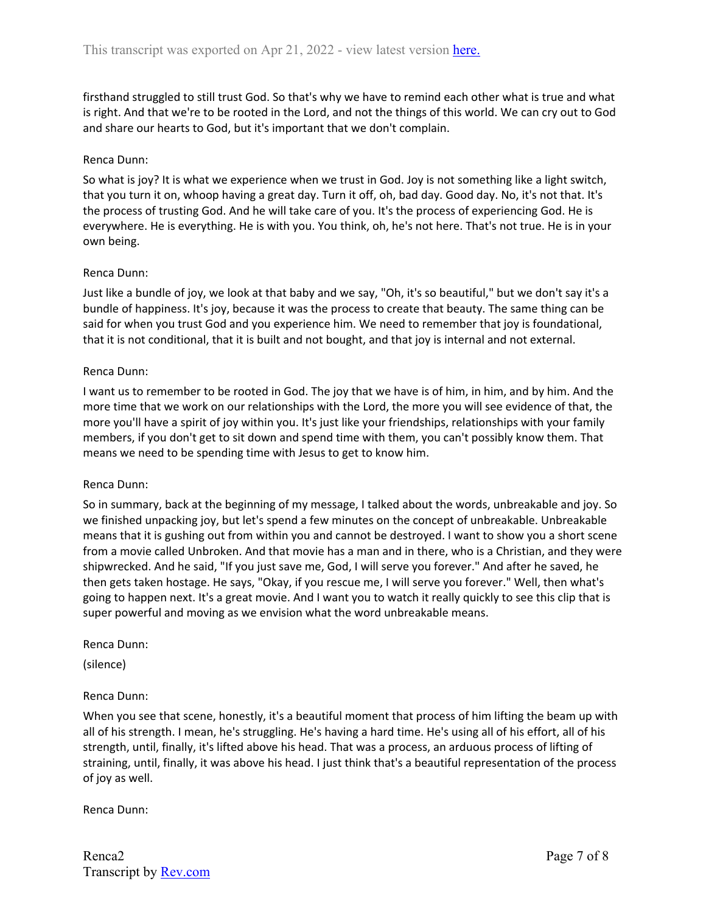firsthand struggled to still trust God. So that's why we have to remind each other what is true and what is right. And that we're to be rooted in the Lord, and not the things of this world. We can cry out to God and share our hearts to God, but it's important that we don't complain.

## Renca Dunn:

So what is joy? It is what we experience when we trust in God. Joy is not something like a light switch, that you turn it on, whoop having a great day. Turn it off, oh, bad day. Good day. No, it's not that. It's the process of trusting God. And he will take care of you. It's the process of experiencing God. He is everywhere. He is everything. He is with you. You think, oh, he's not here. That's not true. He is in your own being.

### Renca Dunn:

Just like a bundle of joy, we look at that baby and we say, "Oh, it's so beautiful," but we don't say it's a bundle of happiness. It's joy, because it was the process to create that beauty. The same thing can be said for when you trust God and you experience him. We need to remember that joy is foundational, that it is not conditional, that it is built and not bought, and that joy is internal and not external.

### Renca Dunn:

I want us to remember to be rooted in God. The joy that we have is of him, in him, and by him. And the more time that we work on our relationships with the Lord, the more you will see evidence of that, the more you'll have a spirit of joy within you. It's just like your friendships, relationships with your family members, if you don't get to sit down and spend time with them, you can't possibly know them. That means we need to be spending time with Jesus to get to know him.

#### Renca Dunn:

So in summary, back at the beginning of my message, I talked about the words, unbreakable and joy. So we finished unpacking joy, but let's spend a few minutes on the concept of unbreakable. Unbreakable means that it is gushing out from within you and cannot be destroyed. I want to show you a short scene from a movie called Unbroken. And that movie has a man and in there, who is a Christian, and they were shipwrecked. And he said, "If you just save me, God, I will serve you forever." And after he saved, he then gets taken hostage. He says, "Okay, if you rescue me, I will serve you forever." Well, then what's going to happen next. It's a great movie. And I want you to watch it really quickly to see this clip that is super powerful and moving as we envision what the word unbreakable means.

Renca Dunn:

(silence)

## Renca Dunn:

When you see that scene, honestly, it's a beautiful moment that process of him lifting the beam up with all of his strength. I mean, he's struggling. He's having a hard time. He's using all of his effort, all of his strength, until, finally, it's lifted above his head. That was a process, an arduous process of lifting of straining, until, finally, it was above his head. I just think that's a beautiful representation of the process of joy as well.

Renca Dunn: